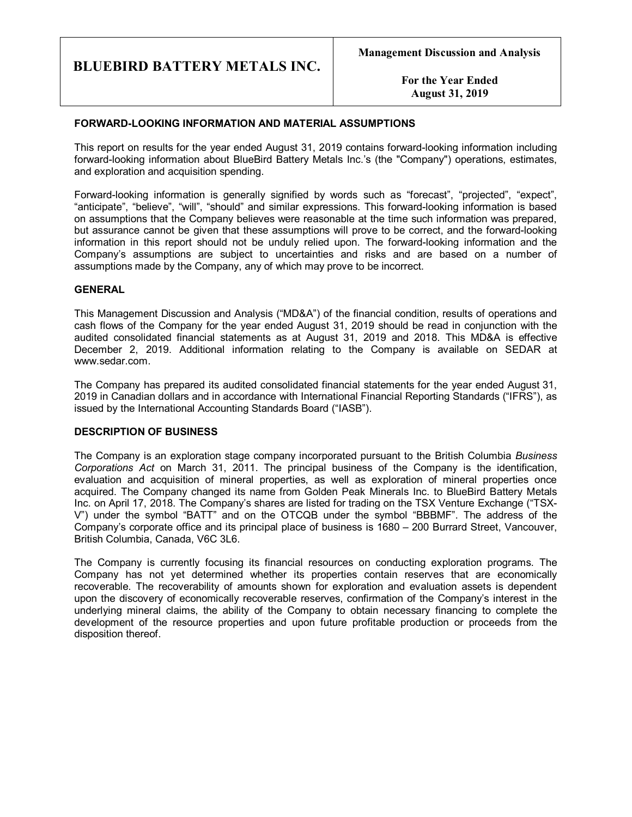**For the Year Ended August 31, 2019**

## **FORWARD-LOOKING INFORMATION AND MATERIAL ASSUMPTIONS**

This report on results for the year ended August 31, 2019 contains forward-looking information including forward-looking information about BlueBird Battery Metals Inc.'s (the "Company") operations, estimates, and exploration and acquisition spending.

Forward-looking information is generally signified by words such as "forecast", "projected", "expect", "anticipate", "believe", "will", "should" and similar expressions. This forward-looking information is based on assumptions that the Company believes were reasonable at the time such information was prepared, but assurance cannot be given that these assumptions will prove to be correct, and the forward-looking information in this report should not be unduly relied upon. The forward-looking information and the Company's assumptions are subject to uncertainties and risks and are based on a number of assumptions made by the Company, any of which may prove to be incorrect.

## **GENERAL**

This Management Discussion and Analysis ("MD&A") of the financial condition, results of operations and cash flows of the Company for the year ended August 31, 2019 should be read in conjunction with the audited consolidated financial statements as at August 31, 2019 and 2018. This MD&A is effective December 2, 2019. Additional information relating to the Company is available on SEDAR at www.sedar.com.

The Company has prepared its audited consolidated financial statements for the year ended August 31, 2019 in Canadian dollars and in accordance with International Financial Reporting Standards ("IFRS"), as issued by the International Accounting Standards Board ("IASB").

# **DESCRIPTION OF BUSINESS**

The Company is an exploration stage company incorporated pursuant to the British Columbia *Business Corporations Act* on March 31, 2011. The principal business of the Company is the identification, evaluation and acquisition of mineral properties, as well as exploration of mineral properties once acquired. The Company changed its name from Golden Peak Minerals Inc. to BlueBird Battery Metals Inc. on April 17, 2018. The Company's shares are listed for trading on the TSX Venture Exchange ("TSX-V") under the symbol "BATT" and on the OTCQB under the symbol "BBBMF". The address of the Company's corporate office and its principal place of business is 1680 – 200 Burrard Street, Vancouver, British Columbia, Canada, V6C 3L6.

The Company is currently focusing its financial resources on conducting exploration programs. The Company has not yet determined whether its properties contain reserves that are economically recoverable. The recoverability of amounts shown for exploration and evaluation assets is dependent upon the discovery of economically recoverable reserves, confirmation of the Company's interest in the underlying mineral claims, the ability of the Company to obtain necessary financing to complete the development of the resource properties and upon future profitable production or proceeds from the disposition thereof.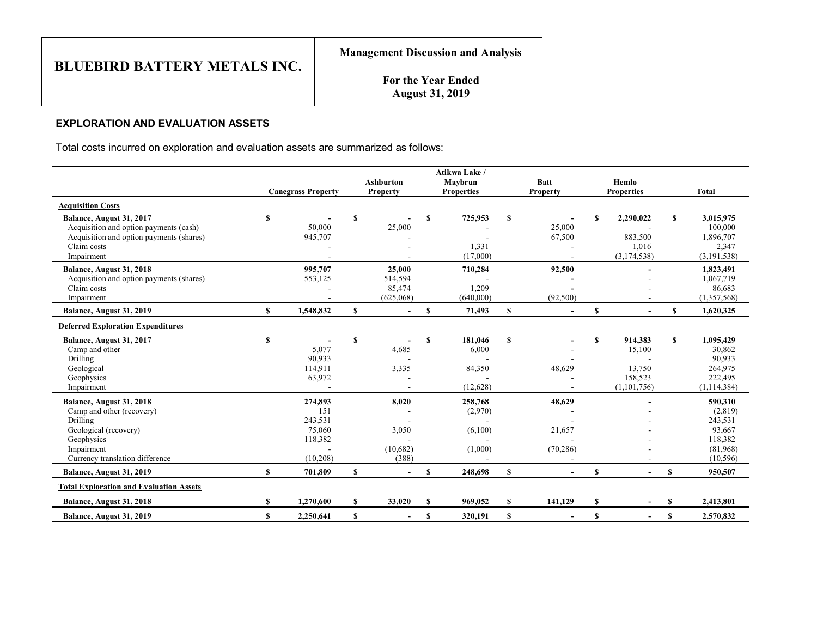**For the Year Ended August 31, 2019**

# **EXPLORATION AND EVALUATION ASSETS**

Total costs incurred on exploration and evaluation assets are summarized as follows:

|                                                                                                                                                           |              | <b>Canegrass Property</b>                                   |             | <b>Ashburton</b><br>Property             |              | Atikwa Lake /<br>Maybrun<br><b>Properties</b> |              | <b>Batt</b><br><b>Property</b> |               | Hemlo<br><b>Properties</b>                              |              | <b>Total</b>                                                                |
|-----------------------------------------------------------------------------------------------------------------------------------------------------------|--------------|-------------------------------------------------------------|-------------|------------------------------------------|--------------|-----------------------------------------------|--------------|--------------------------------|---------------|---------------------------------------------------------|--------------|-----------------------------------------------------------------------------|
| <b>Acquisition Costs</b>                                                                                                                                  |              |                                                             |             |                                          |              |                                               |              |                                |               |                                                         |              |                                                                             |
| Balance, August 31, 2017<br>Acquisition and option payments (cash)<br>Acquisition and option payments (shares)<br>Claim costs<br>Impairment               | S            | 50,000<br>945,707                                           | <b>S</b>    | 25,000                                   | S            | 725,953<br>1,331<br>(17,000)                  | S            | 25,000<br>67,500               | S             | 2,290,022<br>883,500<br>1,016<br>(3,174,538)            | S            | 3,015,975<br>100,000<br>1,896,707<br>2,347<br>(3, 191, 538)                 |
| Balance, August 31, 2018<br>Acquisition and option payments (shares)<br>Claim costs<br>Impairment                                                         |              | 995.707<br>553,125                                          |             | 25,000<br>514,594<br>85,474<br>(625,068) |              | 710,284<br>1,209<br>(640,000)                 |              | 92,500<br>(92,500)             |               |                                                         |              | 1,823,491<br>1,067,719<br>86,683<br>(1,357,568)                             |
| Balance, August 31, 2019                                                                                                                                  | $\mathbf{s}$ | 1,548,832                                                   | \$          | $\sim$                                   | S            | 71,493                                        | $\mathbf{s}$ |                                | \$            |                                                         | \$           | 1,620,325                                                                   |
| <b>Deferred Exploration Expenditures</b>                                                                                                                  |              |                                                             |             |                                          |              |                                               |              |                                |               |                                                         |              |                                                                             |
| Balance, August 31, 2017<br>Camp and other<br>Drilling<br>Geological<br>Geophysics<br>Impairment                                                          | S            | 5,077<br>90,933<br>114,911<br>63,972                        | S           | 4,685<br>3,335                           | S            | 181,046<br>6,000<br>84,350<br>(12,628)        | S            | 48,629                         | S             | 914,383<br>15,100<br>13,750<br>158,523<br>(1, 101, 756) | $\mathbf{s}$ | 1,095,429<br>30,862<br>90,933<br>264,975<br>222,495<br>(1, 114, 384)        |
| Balance, August 31, 2018<br>Camp and other (recovery)<br>Drilling<br>Geological (recovery)<br>Geophysics<br>Impairment<br>Currency translation difference |              | 274,893<br>151<br>243,531<br>75,060<br>118,382<br>(10, 208) |             | 8,020<br>3,050<br>(10,682)<br>(388)      |              | 258,768<br>(2,970)<br>(6,100)<br>(1,000)      |              | 48,629<br>21,657<br>(70, 286)  |               |                                                         |              | 590,310<br>(2,819)<br>243,531<br>93,667<br>118,382<br>(81,968)<br>(10, 596) |
| Balance, August 31, 2019                                                                                                                                  | $\mathbf{s}$ | 701.809                                                     | S           |                                          | $\mathbf{s}$ | 248,698                                       | $\mathbf{s}$ |                                | $\mathbf S$   |                                                         | $\mathbf{s}$ | 950,507                                                                     |
| <b>Total Exploration and Evaluation Assets</b>                                                                                                            |              |                                                             |             |                                          |              |                                               |              |                                |               |                                                         |              |                                                                             |
| Balance, August 31, 2018                                                                                                                                  | S            | 1,270,600                                                   | S           | 33,020                                   | $\mathbf{s}$ | 969,052                                       | $\mathbf{s}$ | 141,129                        | <sup>\$</sup> |                                                         | $\mathbf{s}$ | 2,413,801                                                                   |
| Balance, August 31, 2019                                                                                                                                  | $\mathbf{s}$ | 2,250,641                                                   | $\mathbf S$ | $\overline{\phantom{a}}$                 | <b>S</b>     | 320,191                                       | $\mathbf{s}$ | $\overline{\phantom{0}}$       | $\mathbf S$   | $\overline{\phantom{a}}$                                | $\mathbf{s}$ | 2,570,832                                                                   |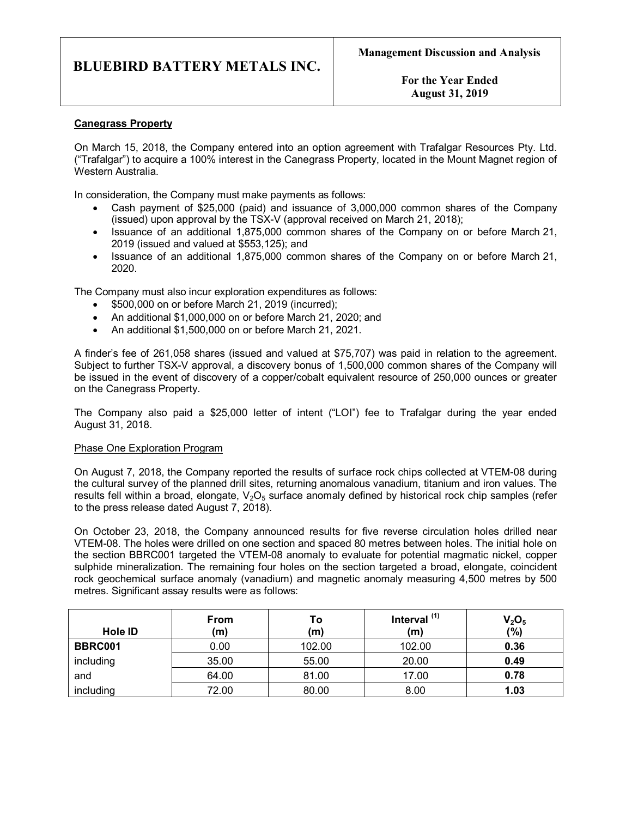**For the Year Ended August 31, 2019**

# **Canegrass Property**

On March 15, 2018, the Company entered into an option agreement with Trafalgar Resources Pty. Ltd. ("Trafalgar") to acquire a 100% interest in the Canegrass Property, located in the Mount Magnet region of Western Australia.

In consideration, the Company must make payments as follows:

- Cash payment of \$25,000 (paid) and issuance of 3,000,000 common shares of the Company (issued) upon approval by the TSX-V (approval received on March 21, 2018);
- · Issuance of an additional 1,875,000 common shares of the Company on or before March 21, 2019 (issued and valued at \$553,125); and
- · Issuance of an additional 1,875,000 common shares of the Company on or before March 21, 2020.

The Company must also incur exploration expenditures as follows:

- \$500,000 on or before March 21, 2019 (incurred);
- · An additional \$1,000,000 on or before March 21, 2020; and
- · An additional \$1,500,000 on or before March 21, 2021.

A finder's fee of 261,058 shares (issued and valued at \$75,707) was paid in relation to the agreement. Subject to further TSX-V approval, a discovery bonus of 1,500,000 common shares of the Company will be issued in the event of discovery of a copper/cobalt equivalent resource of 250,000 ounces or greater on the Canegrass Property.

The Company also paid a \$25,000 letter of intent ("LOI") fee to Trafalgar during the year ended August 31, 2018.

### Phase One Exploration Program

On August 7, 2018, the Company reported the results of surface rock chips collected at VTEM-08 during the cultural survey of the planned drill sites, returning anomalous vanadium, titanium and iron values. The results fell within a broad, elongate,  $V_2O_5$  surface anomaly defined by historical rock chip samples (refer to the press release dated August 7, 2018).

On October 23, 2018, the Company announced results for five reverse circulation holes drilled near VTEM-08. The holes were drilled on one section and spaced 80 metres between holes. The initial hole on the section BBRC001 targeted the VTEM-08 anomaly to evaluate for potential magmatic nickel, copper sulphide mineralization. The remaining four holes on the section targeted a broad, elongate, coincident rock geochemical surface anomaly (vanadium) and magnetic anomaly measuring 4,500 metres by 500 metres. Significant assay results were as follows:

| <b>Hole ID</b> | <b>From</b><br>(m) | Τo<br>(m) | Interval $(1)$<br>(m) | $V_2O_5$<br>(%) |
|----------------|--------------------|-----------|-----------------------|-----------------|
| BBRC001        |                    |           |                       | 0.36            |
|                | 0.00               | 102.00    | 102.00                |                 |
| including      | 35.00              | 55.00     | 20.00                 | 0.49            |
| and            | 64.00              | 81.00     | 17.00                 | 0.78            |
| including      | 72.00              | 80.00     | 8.00                  | 1.03            |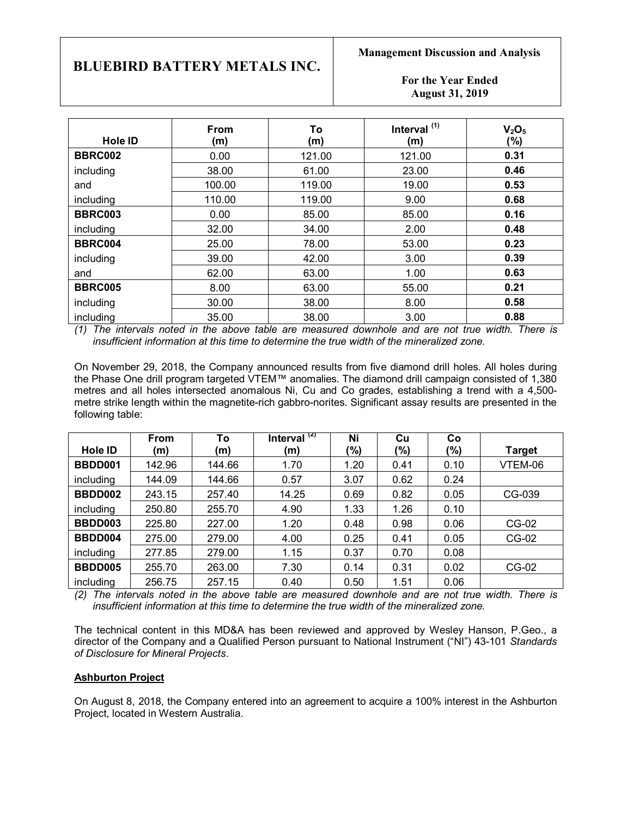## **For the Year Ended August 31, 2019**

| <b>Hole ID</b> | From<br>(m) | To<br>(m) | Interval <sup>(1)</sup><br>(m) | V <sub>2</sub> O <sub>5</sub><br>(%) |
|----------------|-------------|-----------|--------------------------------|--------------------------------------|
| <b>BBRC002</b> | 0.00        | 121.00    | 121.00                         | 0.31                                 |
| including      | 38.00       | 61.00     | 23.00                          | 0.46                                 |
| and            | 100.00      | 119.00    | 19.00                          | 0.53                                 |
| including      | 110.00      | 119.00    | 9.00                           | 0.68                                 |
| <b>BBRC003</b> | 0.00        | 85.00     | 85.00                          | 0.16                                 |
| including      | 32.00       | 34.00     | 2.00                           | 0.48                                 |
| <b>BBRC004</b> | 25.00       | 78.00     | 53.00                          | 0.23                                 |
| including      | 39.00       | 42.00     | 3.00                           | 0.39                                 |
| and            | 62.00       | 63.00     | 1.00                           | 0.63                                 |
| <b>BBRC005</b> | 8.00        | 63.00     | 55.00                          | 0.21                                 |
| including      | 30.00       | 38.00     | 8.00                           | 0.58                                 |
| including      | 35.00       | 38.00     | 3.00                           | 0.88                                 |

*(1) The intervals noted in the above table are measured downhole and are not true width. There is insufficient information at this time to determine the true width of the mineralized zone.*

On November 29, 2018, the Company announced results from five diamond drill holes. All holes during the Phase One drill program targeted VTEM™ anomalies. The diamond drill campaign consisted of 1,380 metres and all holes intersected anomalous Ni, Cu and Co grades, establishing a trend with a 4,500 metre strike length within the magnetite-rich gabbro-norites. Significant assay results are presented in the following table:

|                | From   | To     | Interval $(2)$ | Ni   | Cu   | Co   |               |
|----------------|--------|--------|----------------|------|------|------|---------------|
| <b>Hole ID</b> | (m)    | (m)    | (m)            | (%)  | (%)  | (%)  | <b>Target</b> |
| BBDD001        | 142.96 | 144.66 | 1.70           | 1.20 | 0.41 | 0.10 | VTEM-06       |
| including      | 144.09 | 144.66 | 0.57           | 3.07 | 0.62 | 0.24 |               |
| BBDD002        | 243.15 | 257.40 | 14.25          | 0.69 | 0.82 | 0.05 | CG-039        |
| including      | 250.80 | 255.70 | 4.90           | 1.33 | 1.26 | 0.10 |               |
| <b>BBDD003</b> | 225.80 | 227.00 | 1.20           | 0.48 | 0.98 | 0.06 | $CG-02$       |
| BBDD004        | 275.00 | 279.00 | 4.00           | 0.25 | 0.41 | 0.05 | $CG-02$       |
| including      | 277.85 | 279.00 | 1.15           | 0.37 | 0.70 | 0.08 |               |
| BBDD005        | 255.70 | 263.00 | 7.30           | 0.14 | 0.31 | 0.02 | $CG-02$       |
| including      | 256.75 | 257.15 | 0.40           | 0.50 | 1.51 | 0.06 |               |

*(2) The intervals noted in the above table are measured downhole and are not true width. There is insufficient information at this time to determine the true width of the mineralized zone.*

The technical content in this MD&A has been reviewed and approved by Wesley Hanson, P.Geo., a director of the Company and a Qualified Person pursuant to National Instrument ("NI") 43-101 *Standards of Disclosure for Mineral Projects*.

# **Ashburton Project**

On August 8, 2018, the Company entered into an agreement to acquire a 100% interest in the Ashburton Project, located in Western Australia.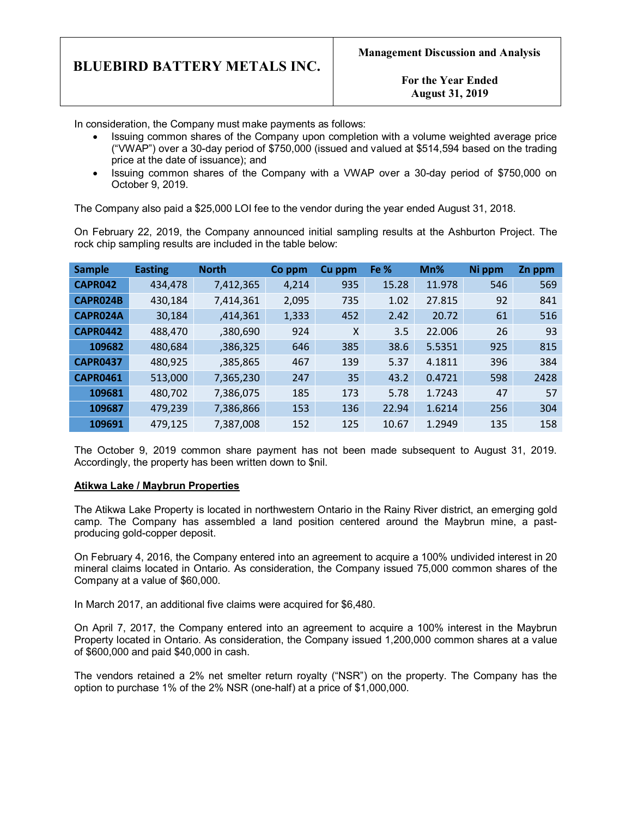**For the Year Ended August 31, 2019**

In consideration, the Company must make payments as follows:

- · Issuing common shares of the Company upon completion with a volume weighted average price ("VWAP") over a 30-day period of \$750,000 (issued and valued at \$514,594 based on the trading price at the date of issuance); and
- · Issuing common shares of the Company with a VWAP over a 30-day period of \$750,000 on October 9, 2019.

The Company also paid a \$25,000 LOI fee to the vendor during the year ended August 31, 2018.

On February 22, 2019, the Company announced initial sampling results at the Ashburton Project. The rock chip sampling results are included in the table below:

| <b>Sample</b>   | <b>Easting</b> | <b>North</b> | Co ppm | Cu ppm | Fe %  | Mn%    | Ni ppm | Zn ppm |
|-----------------|----------------|--------------|--------|--------|-------|--------|--------|--------|
| <b>CAPR042</b>  | 434,478        | 7,412,365    | 4,214  | 935    | 15.28 | 11.978 | 546    | 569    |
| CAPR024B        | 430,184        | 7,414,361    | 2,095  | 735    | 1.02  | 27.815 | 92     | 841    |
| CAPR024A        | 30,184         | ,414,361     | 1,333  | 452    | 2.42  | 20.72  | 61     | 516    |
| <b>CAPR0442</b> | 488,470        | ,380,690     | 924    | X      | 3.5   | 22.006 | 26     | 93     |
| 109682          | 480,684        | ,386,325     | 646    | 385    | 38.6  | 5.5351 | 925    | 815    |
| <b>CAPR0437</b> | 480,925        | ,385,865     | 467    | 139    | 5.37  | 4.1811 | 396    | 384    |
| <b>CAPR0461</b> | 513,000        | 7,365,230    | 247    | 35     | 43.2  | 0.4721 | 598    | 2428   |
| 109681          | 480,702        | 7,386,075    | 185    | 173    | 5.78  | 1.7243 | 47     | 57     |
| 109687          | 479,239        | 7,386,866    | 153    | 136    | 22.94 | 1.6214 | 256    | 304    |
| 109691          | 479,125        | 7,387,008    | 152    | 125    | 10.67 | 1.2949 | 135    | 158    |

The October 9, 2019 common share payment has not been made subsequent to August 31, 2019. Accordingly, the property has been written down to \$nil.

#### **Atikwa Lake / Maybrun Properties**

The Atikwa Lake Property is located in northwestern Ontario in the Rainy River district, an emerging gold camp. The Company has assembled a land position centered around the Maybrun mine, a pastproducing gold-copper deposit.

On February 4, 2016, the Company entered into an agreement to acquire a 100% undivided interest in 20 mineral claims located in Ontario. As consideration, the Company issued 75,000 common shares of the Company at a value of \$60,000.

In March 2017, an additional five claims were acquired for \$6,480.

On April 7, 2017, the Company entered into an agreement to acquire a 100% interest in the Maybrun Property located in Ontario. As consideration, the Company issued 1,200,000 common shares at a value of \$600,000 and paid \$40,000 in cash.

The vendors retained a 2% net smelter return royalty ("NSR") on the property. The Company has the option to purchase 1% of the 2% NSR (one-half) at a price of \$1,000,000.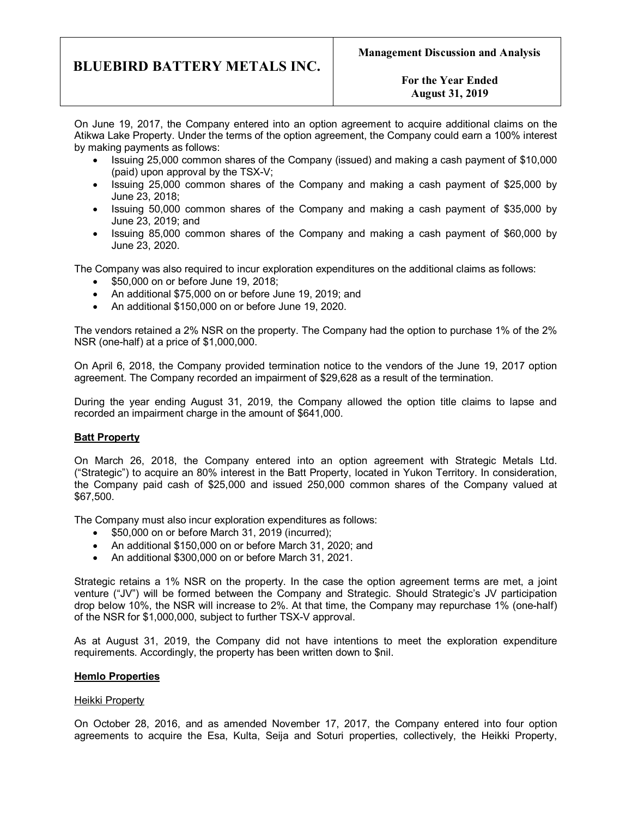# **For the Year Ended August 31, 2019**

On June 19, 2017, the Company entered into an option agreement to acquire additional claims on the Atikwa Lake Property. Under the terms of the option agreement, the Company could earn a 100% interest by making payments as follows:

- · Issuing 25,000 common shares of the Company (issued) and making a cash payment of \$10,000 (paid) upon approval by the TSX-V;
- · Issuing 25,000 common shares of the Company and making a cash payment of \$25,000 by June 23, 2018;
- · Issuing 50,000 common shares of the Company and making a cash payment of \$35,000 by June 23, 2019; and
- · Issuing 85,000 common shares of the Company and making a cash payment of \$60,000 by June 23, 2020.

The Company was also required to incur exploration expenditures on the additional claims as follows:

- \$50,000 on or before June 19, 2018;
- · An additional \$75,000 on or before June 19, 2019; and
- · An additional \$150,000 on or before June 19, 2020.

The vendors retained a 2% NSR on the property. The Company had the option to purchase 1% of the 2% NSR (one-half) at a price of \$1,000,000.

On April 6, 2018, the Company provided termination notice to the vendors of the June 19, 2017 option agreement. The Company recorded an impairment of \$29,628 as a result of the termination.

During the year ending August 31, 2019, the Company allowed the option title claims to lapse and recorded an impairment charge in the amount of \$641,000.

# **Batt Property**

On March 26, 2018, the Company entered into an option agreement with Strategic Metals Ltd. ("Strategic") to acquire an 80% interest in the Batt Property, located in Yukon Territory. In consideration, the Company paid cash of \$25,000 and issued 250,000 common shares of the Company valued at \$67,500.

The Company must also incur exploration expenditures as follows:

- · \$50,000 on or before March 31, 2019 (incurred);
- · An additional \$150,000 on or before March 31, 2020; and
- · An additional \$300,000 on or before March 31, 2021.

Strategic retains a 1% NSR on the property. In the case the option agreement terms are met, a joint venture ("JV") will be formed between the Company and Strategic. Should Strategic's JV participation drop below 10%, the NSR will increase to 2%. At that time, the Company may repurchase 1% (one-half) of the NSR for \$1,000,000, subject to further TSX-V approval.

As at August 31, 2019, the Company did not have intentions to meet the exploration expenditure requirements. Accordingly, the property has been written down to \$nil.

#### **Hemlo Properties**

#### Heikki Property

On October 28, 2016, and as amended November 17, 2017, the Company entered into four option agreements to acquire the Esa, Kulta, Seija and Soturi properties, collectively, the Heikki Property,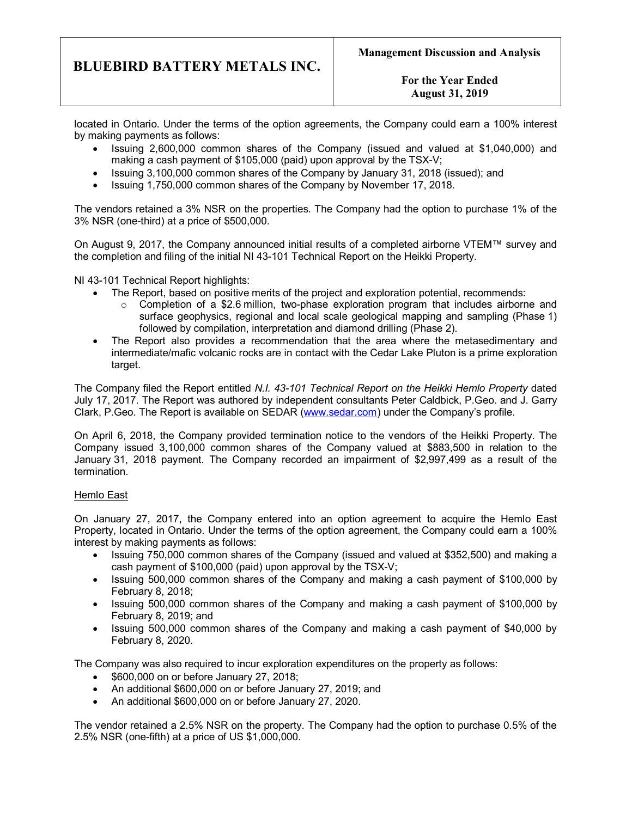**For the Year Ended August 31, 2019**

located in Ontario. Under the terms of the option agreements, the Company could earn a 100% interest by making payments as follows:

- · Issuing 2,600,000 common shares of the Company (issued and valued at \$1,040,000) and making a cash payment of \$105,000 (paid) upon approval by the TSX-V;
- · Issuing 3,100,000 common shares of the Company by January 31, 2018 (issued); and
- · Issuing 1,750,000 common shares of the Company by November 17, 2018.

The vendors retained a 3% NSR on the properties. The Company had the option to purchase 1% of the 3% NSR (one-third) at a price of \$500,000.

On August 9, 2017, the Company announced initial results of a completed airborne VTEM™ survey and the completion and filing of the initial NI 43-101 Technical Report on the Heikki Property.

NI 43-101 Technical Report highlights:

- · The Report, based on positive merits of the project and exploration potential, recommends:
	- $\circ$  Completion of a \$2.6 million, two-phase exploration program that includes airborne and surface geophysics, regional and local scale geological mapping and sampling (Phase 1) followed by compilation, interpretation and diamond drilling (Phase 2).
- The Report also provides a recommendation that the area where the metasedimentary and intermediate/mafic volcanic rocks are in contact with the Cedar Lake Pluton is a prime exploration target.

The Company filed the Report entitled *N.I. 43-101 Technical Report on the Heikki Hemlo Property* dated July 17, 2017. The Report was authored by independent consultants Peter Caldbick, P.Geo. and J. Garry Clark, P.Geo. The Report is available on SEDAR (www.sedar.com) under the Company's profile.

On April 6, 2018, the Company provided termination notice to the vendors of the Heikki Property. The Company issued 3,100,000 common shares of the Company valued at \$883,500 in relation to the January 31, 2018 payment. The Company recorded an impairment of \$2,997,499 as a result of the termination.

#### Hemlo East

On January 27, 2017, the Company entered into an option agreement to acquire the Hemlo East Property, located in Ontario. Under the terms of the option agreement, the Company could earn a 100% interest by making payments as follows:

- · Issuing 750,000 common shares of the Company (issued and valued at \$352,500) and making a cash payment of \$100,000 (paid) upon approval by the TSX-V;
- · Issuing 500,000 common shares of the Company and making a cash payment of \$100,000 by February 8, 2018;
- · Issuing 500,000 common shares of the Company and making a cash payment of \$100,000 by February 8, 2019; and
- · Issuing 500,000 common shares of the Company and making a cash payment of \$40,000 by February 8, 2020.

The Company was also required to incur exploration expenditures on the property as follows:

- · \$600,000 on or before January 27, 2018;
- · An additional \$600,000 on or before January 27, 2019; and
- · An additional \$600,000 on or before January 27, 2020.

The vendor retained a 2.5% NSR on the property. The Company had the option to purchase 0.5% of the 2.5% NSR (one-fifth) at a price of US \$1,000,000.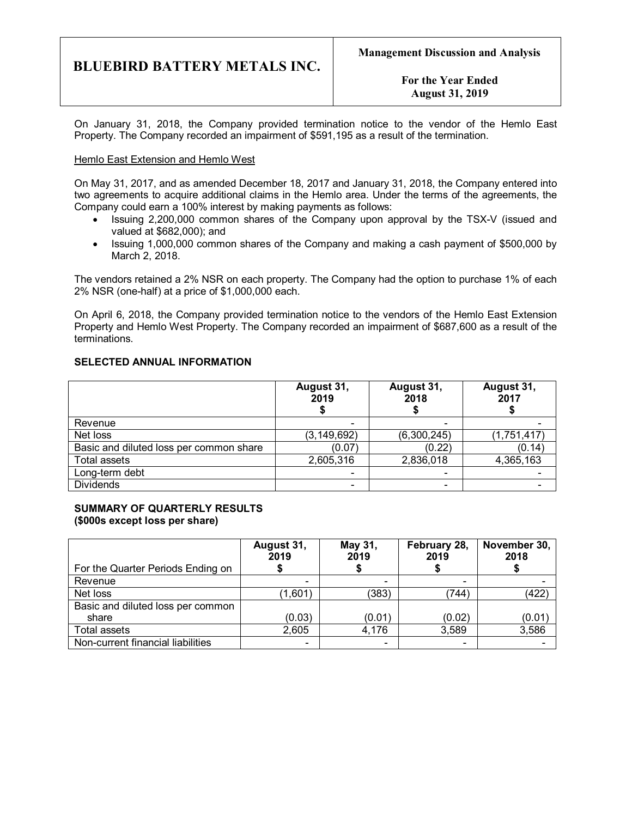**For the Year Ended August 31, 2019**

On January 31, 2018, the Company provided termination notice to the vendor of the Hemlo East Property. The Company recorded an impairment of \$591,195 as a result of the termination.

#### Hemlo East Extension and Hemlo West

On May 31, 2017, and as amended December 18, 2017 and January 31, 2018, the Company entered into two agreements to acquire additional claims in the Hemlo area. Under the terms of the agreements, the Company could earn a 100% interest by making payments as follows:

- · Issuing 2,200,000 common shares of the Company upon approval by the TSX-V (issued and valued at \$682,000); and
- · Issuing 1,000,000 common shares of the Company and making a cash payment of \$500,000 by March 2, 2018.

The vendors retained a 2% NSR on each property. The Company had the option to purchase 1% of each 2% NSR (one-half) at a price of \$1,000,000 each.

On April 6, 2018, the Company provided termination notice to the vendors of the Hemlo East Extension Property and Hemlo West Property. The Company recorded an impairment of \$687,600 as a result of the terminations.

## **SELECTED ANNUAL INFORMATION**

|                                         | August 31,<br>2019       | August 31,<br>2018       | August 31,<br>2017 |
|-----------------------------------------|--------------------------|--------------------------|--------------------|
| Revenue                                 | -                        |                          |                    |
| Net loss                                | (3, 149, 692)            | (6,300,245)              | (1,751,417)        |
| Basic and diluted loss per common share | (0.07)                   | (0.22)                   | (0.14)             |
| <b>Total assets</b>                     | 2,605,316                | 2,836,018                | 4,365,163          |
| Long-term debt                          |                          | $\overline{\phantom{a}}$ |                    |
| <b>Dividends</b>                        | $\overline{\phantom{0}}$ | $\overline{\phantom{0}}$ |                    |

# **SUMMARY OF QUARTERLY RESULTS (\$000s except loss per share)**

|                                   | August 31,<br>2019       | May 31,<br>2019          | February 28,<br>2019 | November 30,<br>2018 |
|-----------------------------------|--------------------------|--------------------------|----------------------|----------------------|
| For the Quarter Periods Ending on |                          |                          |                      |                      |
| Revenue                           | $\overline{\phantom{a}}$ | $\,$                     |                      |                      |
| Net loss                          | $\left( 1,601\right)$    | (383)                    | (744)                | (422)                |
| Basic and diluted loss per common |                          |                          |                      |                      |
| share                             | (0.03)                   | (0.01)                   | (0.02)               | (0.01)               |
| Total assets                      | 2,605                    | 4,176                    | 3,589                | 3,586                |
| Non-current financial liabilities | $\overline{\phantom{a}}$ | $\overline{\phantom{a}}$ | -                    |                      |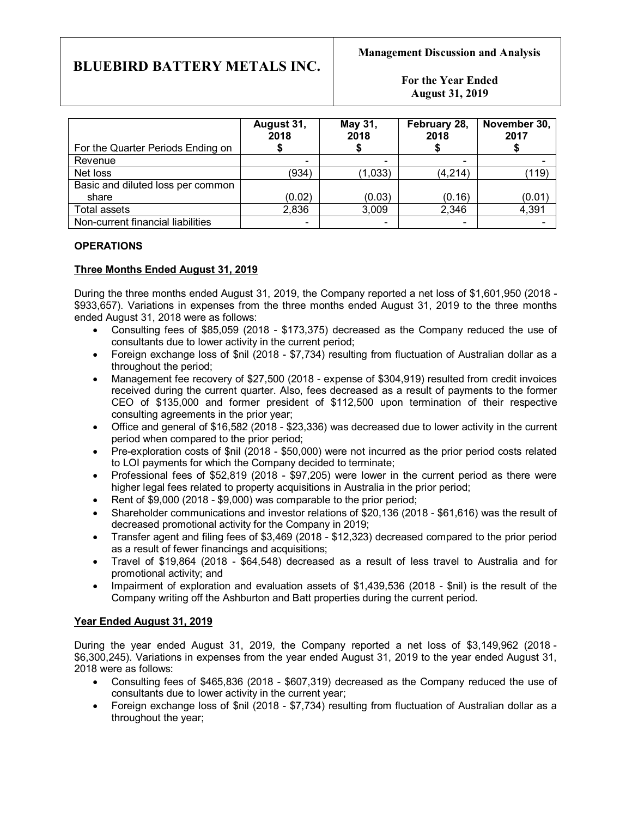**For the Year Ended August 31, 2019**

|                                   | August 31,<br>2018       | May 31,<br>2018          | February 28,<br>2018 | November 30,<br>2017 |
|-----------------------------------|--------------------------|--------------------------|----------------------|----------------------|
| For the Quarter Periods Ending on |                          |                          |                      |                      |
| Revenue                           | $\overline{\phantom{a}}$ | $\overline{\phantom{0}}$ |                      |                      |
| Net loss                          | (934)                    | (1,033)                  | (4, 214)             | (119)                |
| Basic and diluted loss per common |                          |                          |                      |                      |
| share                             | (0.02)                   | (0.03)                   | (0.16)               | (0.01)               |
| Total assets                      | 2,836                    | 3,009                    | 2,346                | 4,391                |
| Non-current financial liabilities | $\overline{\phantom{a}}$ | $\overline{\phantom{0}}$ |                      |                      |

# **OPERATIONS**

# **Three Months Ended August 31, 2019**

During the three months ended August 31, 2019, the Company reported a net loss of \$1,601,950 (2018 - \$933,657). Variations in expenses from the three months ended August 31, 2019 to the three months ended August 31, 2018 were as follows:

- · Consulting fees of \$85,059 (2018 \$173,375) decreased as the Company reduced the use of consultants due to lower activity in the current period;
- · Foreign exchange loss of \$nil (2018 \$7,734) resulting from fluctuation of Australian dollar as a throughout the period;
- · Management fee recovery of \$27,500 (2018 expense of \$304,919) resulted from credit invoices received during the current quarter. Also, fees decreased as a result of payments to the former CEO of \$135,000 and former president of \$112,500 upon termination of their respective consulting agreements in the prior year;
- · Office and general of \$16,582 (2018 \$23,336) was decreased due to lower activity in the current period when compared to the prior period;
- · Pre-exploration costs of \$nil (2018 \$50,000) were not incurred as the prior period costs related to LOI payments for which the Company decided to terminate;
- Professional fees of \$52,819 (2018 \$97,205) were lower in the current period as there were higher legal fees related to property acquisitions in Australia in the prior period;
- Rent of \$9,000 (2018 \$9,000) was comparable to the prior period;
- · Shareholder communications and investor relations of \$20,136 (2018 \$61,616) was the result of decreased promotional activity for the Company in 2019;
- · Transfer agent and filing fees of \$3,469 (2018 \$12,323) decreased compared to the prior period as a result of fewer financings and acquisitions;
- · Travel of \$19,864 (2018 \$64,548) decreased as a result of less travel to Australia and for promotional activity; and
- · Impairment of exploration and evaluation assets of \$1,439,536 (2018 \$nil) is the result of the Company writing off the Ashburton and Batt properties during the current period.

# **Year Ended August 31, 2019**

During the year ended August 31, 2019, the Company reported a net loss of \$3,149,962 (2018 - \$6,300,245). Variations in expenses from the year ended August 31, 2019 to the year ended August 31, 2018 were as follows:

- · Consulting fees of \$465,836 (2018 \$607,319) decreased as the Company reduced the use of consultants due to lower activity in the current year;
- · Foreign exchange loss of \$nil (2018 \$7,734) resulting from fluctuation of Australian dollar as a throughout the year;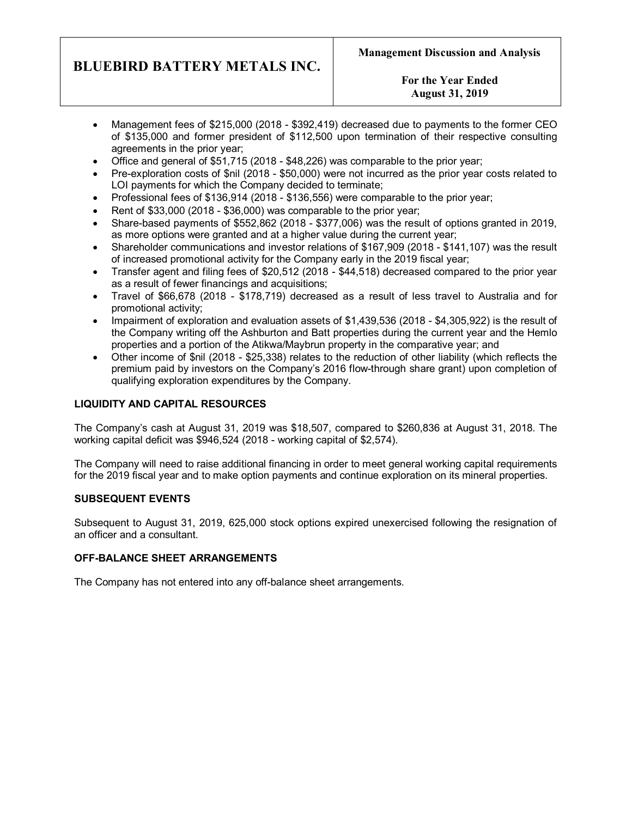# **For the Year Ended August 31, 2019**

- · Management fees of \$215,000 (2018 \$392,419) decreased due to payments to the former CEO of \$135,000 and former president of \$112,500 upon termination of their respective consulting agreements in the prior year;
- · Office and general of \$51,715 (2018 \$48,226) was comparable to the prior year;
- · Pre-exploration costs of \$nil (2018 \$50,000) were not incurred as the prior year costs related to LOI payments for which the Company decided to terminate;
- · Professional fees of \$136,914 (2018 \$136,556) were comparable to the prior year;
- · Rent of \$33,000 (2018 \$36,000) was comparable to the prior year;
- · Share-based payments of \$552,862 (2018 \$377,006) was the result of options granted in 2019, as more options were granted and at a higher value during the current year;
- · Shareholder communications and investor relations of \$167,909 (2018 \$141,107) was the result of increased promotional activity for the Company early in the 2019 fiscal year;
- · Transfer agent and filing fees of \$20,512 (2018 \$44,518) decreased compared to the prior year as a result of fewer financings and acquisitions;
- · Travel of \$66,678 (2018 \$178,719) decreased as a result of less travel to Australia and for promotional activity;
- · Impairment of exploration and evaluation assets of \$1,439,536 (2018 \$4,305,922) is the result of the Company writing off the Ashburton and Batt properties during the current year and the Hemlo properties and a portion of the Atikwa/Maybrun property in the comparative year; and
- · Other income of \$nil (2018 \$25,338) relates to the reduction of other liability (which reflects the premium paid by investors on the Company's 2016 flow-through share grant) upon completion of qualifying exploration expenditures by the Company.

# **LIQUIDITY AND CAPITAL RESOURCES**

The Company's cash at August 31, 2019 was \$18,507, compared to \$260,836 at August 31, 2018. The working capital deficit was \$946,524 (2018 - working capital of \$2,574).

The Company will need to raise additional financing in order to meet general working capital requirements for the 2019 fiscal year and to make option payments and continue exploration on its mineral properties.

# **SUBSEQUENT EVENTS**

Subsequent to August 31, 2019, 625,000 stock options expired unexercised following the resignation of an officer and a consultant.

# **OFF-BALANCE SHEET ARRANGEMENTS**

The Company has not entered into any off-balance sheet arrangements.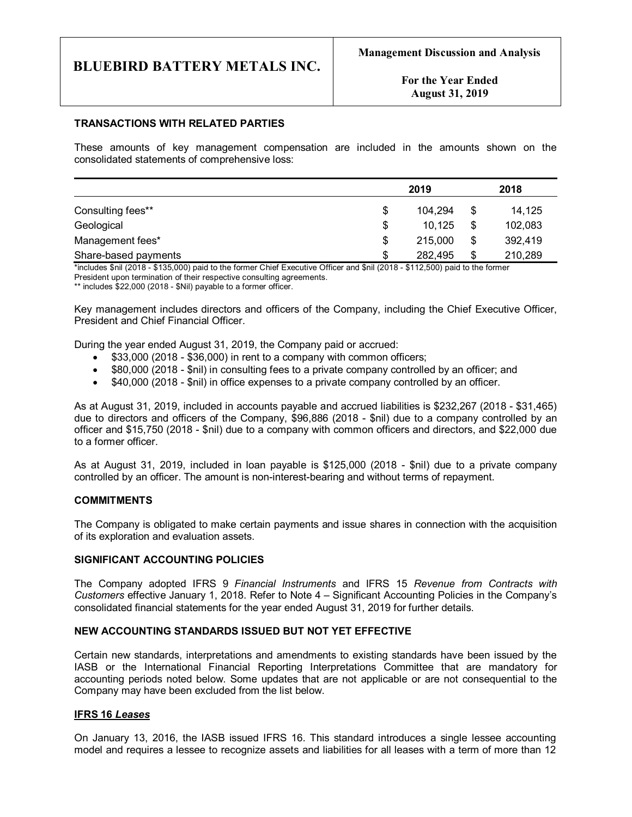**For the Year Ended August 31, 2019**

#### **TRANSACTIONS WITH RELATED PARTIES**

These amounts of key management compensation are included in the amounts shown on the consolidated statements of comprehensive loss:

|                      | 2019          | 2018          |
|----------------------|---------------|---------------|
| Consulting fees**    | \$<br>104.294 | \$<br>14,125  |
| Geological           | \$<br>10,125  | \$<br>102,083 |
| Management fees*     | \$<br>215,000 | \$<br>392,419 |
| Share-based payments | \$<br>282,495 | \$<br>210,289 |

\*includes \$nil (2018 - \$135,000) paid to the former Chief Executive Officer and \$nil (2018 - \$112,500) paid to the former President upon termination of their respective consulting agreements. \*\* includes \$22,000 (2018 - \$Nil) payable to a former officer.

Key management includes directors and officers of the Company, including the Chief Executive Officer, President and Chief Financial Officer.

During the year ended August 31, 2019, the Company paid or accrued:

- · \$33,000 (2018 \$36,000) in rent to a company with common officers;
- · \$80,000 (2018 \$nil) in consulting fees to a private company controlled by an officer; and
- · \$40,000 (2018 \$nil) in office expenses to a private company controlled by an officer.

As at August 31, 2019, included in accounts payable and accrued liabilities is \$232,267 (2018 - \$31,465) due to directors and officers of the Company, \$96,886 (2018 - \$nil) due to a company controlled by an officer and \$15,750 (2018 - \$nil) due to a company with common officers and directors, and \$22,000 due to a former officer.

As at August 31, 2019, included in loan payable is \$125,000 (2018 - \$nil) due to a private company controlled by an officer. The amount is non-interest-bearing and without terms of repayment.

#### **COMMITMENTS**

The Company is obligated to make certain payments and issue shares in connection with the acquisition of its exploration and evaluation assets.

#### **SIGNIFICANT ACCOUNTING POLICIES**

The Company adopted IFRS 9 *Financial Instruments* and IFRS 15 *Revenue from Contracts with Customers* effective January 1, 2018. Refer to Note 4 – Significant Accounting Policies in the Company's consolidated financial statements for the year ended August 31, 2019 for further details.

### **NEW ACCOUNTING STANDARDS ISSUED BUT NOT YET EFFECTIVE**

Certain new standards, interpretations and amendments to existing standards have been issued by the IASB or the International Financial Reporting Interpretations Committee that are mandatory for accounting periods noted below. Some updates that are not applicable or are not consequential to the Company may have been excluded from the list below.

#### **IFRS 16** *Leases*

On January 13, 2016, the IASB issued IFRS 16. This standard introduces a single lessee accounting model and requires a lessee to recognize assets and liabilities for all leases with a term of more than 12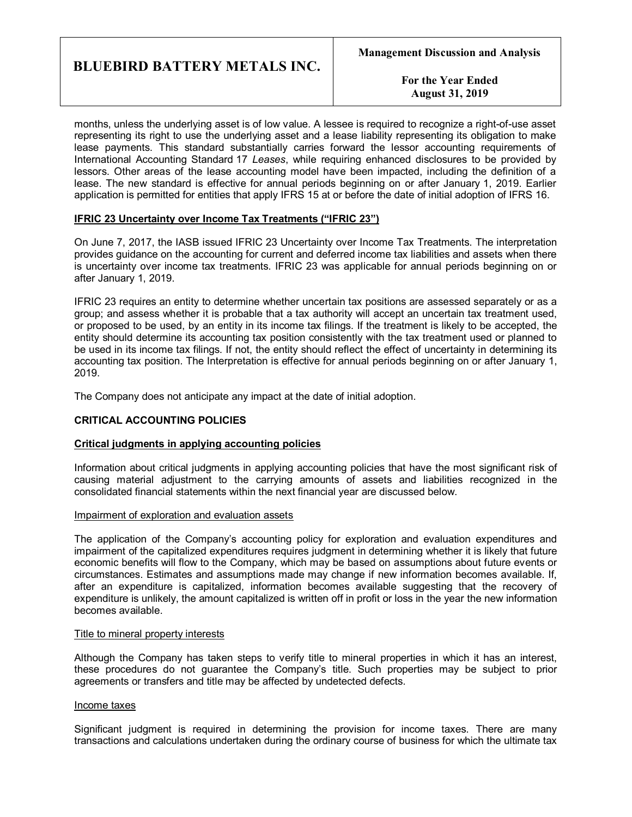**For the Year Ended August 31, 2019**

months, unless the underlying asset is of low value. A lessee is required to recognize a right-of-use asset representing its right to use the underlying asset and a lease liability representing its obligation to make lease payments. This standard substantially carries forward the lessor accounting requirements of International Accounting Standard 17 *Leases*, while requiring enhanced disclosures to be provided by lessors. Other areas of the lease accounting model have been impacted, including the definition of a lease. The new standard is effective for annual periods beginning on or after January 1, 2019. Earlier application is permitted for entities that apply IFRS 15 at or before the date of initial adoption of IFRS 16.

## **IFRIC 23 Uncertainty over Income Tax Treatments ("IFRIC 23")**

On June 7, 2017, the IASB issued IFRIC 23 Uncertainty over Income Tax Treatments. The interpretation provides guidance on the accounting for current and deferred income tax liabilities and assets when there is uncertainty over income tax treatments. IFRIC 23 was applicable for annual periods beginning on or after January 1, 2019.

IFRIC 23 requires an entity to determine whether uncertain tax positions are assessed separately or as a group; and assess whether it is probable that a tax authority will accept an uncertain tax treatment used, or proposed to be used, by an entity in its income tax filings. If the treatment is likely to be accepted, the entity should determine its accounting tax position consistently with the tax treatment used or planned to be used in its income tax filings. If not, the entity should reflect the effect of uncertainty in determining its accounting tax position. The Interpretation is effective for annual periods beginning on or after January 1, 2019.

The Company does not anticipate any impact at the date of initial adoption.

#### **CRITICAL ACCOUNTING POLICIES**

#### **Critical judgments in applying accounting policies**

Information about critical judgments in applying accounting policies that have the most significant risk of causing material adjustment to the carrying amounts of assets and liabilities recognized in the consolidated financial statements within the next financial year are discussed below.

#### Impairment of exploration and evaluation assets

The application of the Company's accounting policy for exploration and evaluation expenditures and impairment of the capitalized expenditures requires judgment in determining whether it is likely that future economic benefits will flow to the Company, which may be based on assumptions about future events or circumstances. Estimates and assumptions made may change if new information becomes available. If, after an expenditure is capitalized, information becomes available suggesting that the recovery of expenditure is unlikely, the amount capitalized is written off in profit or loss in the year the new information becomes available.

#### Title to mineral property interests

Although the Company has taken steps to verify title to mineral properties in which it has an interest, these procedures do not guarantee the Company's title. Such properties may be subject to prior agreements or transfers and title may be affected by undetected defects.

#### Income taxes

Significant judgment is required in determining the provision for income taxes. There are many transactions and calculations undertaken during the ordinary course of business for which the ultimate tax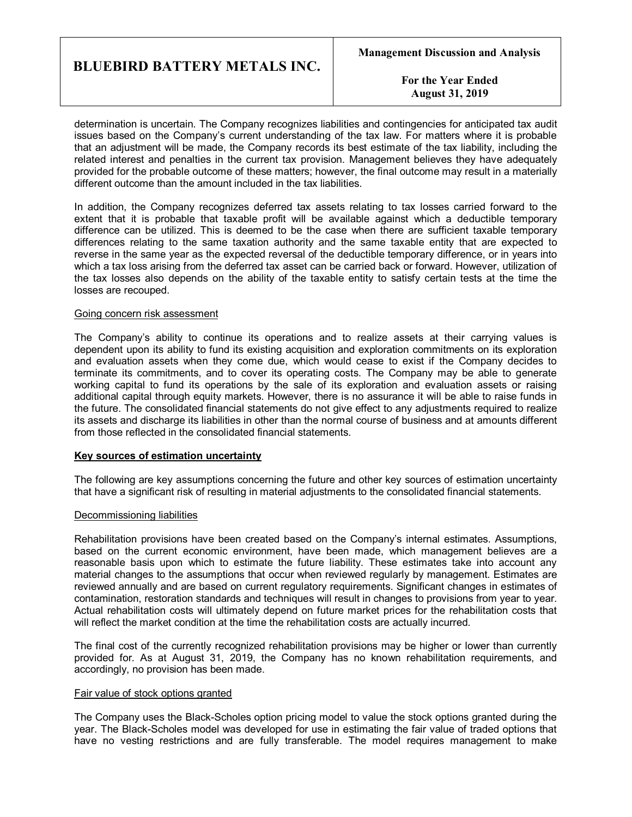**For the Year Ended August 31, 2019**

determination is uncertain. The Company recognizes liabilities and contingencies for anticipated tax audit issues based on the Company's current understanding of the tax law. For matters where it is probable that an adjustment will be made, the Company records its best estimate of the tax liability, including the related interest and penalties in the current tax provision. Management believes they have adequately provided for the probable outcome of these matters; however, the final outcome may result in a materially different outcome than the amount included in the tax liabilities.

In addition, the Company recognizes deferred tax assets relating to tax losses carried forward to the extent that it is probable that taxable profit will be available against which a deductible temporary difference can be utilized. This is deemed to be the case when there are sufficient taxable temporary differences relating to the same taxation authority and the same taxable entity that are expected to reverse in the same year as the expected reversal of the deductible temporary difference, or in years into which a tax loss arising from the deferred tax asset can be carried back or forward. However, utilization of the tax losses also depends on the ability of the taxable entity to satisfy certain tests at the time the losses are recouped.

#### Going concern risk assessment

The Company's ability to continue its operations and to realize assets at their carrying values is dependent upon its ability to fund its existing acquisition and exploration commitments on its exploration and evaluation assets when they come due, which would cease to exist if the Company decides to terminate its commitments, and to cover its operating costs. The Company may be able to generate working capital to fund its operations by the sale of its exploration and evaluation assets or raising additional capital through equity markets. However, there is no assurance it will be able to raise funds in the future. The consolidated financial statements do not give effect to any adjustments required to realize its assets and discharge its liabilities in other than the normal course of business and at amounts different from those reflected in the consolidated financial statements.

#### **Key sources of estimation uncertainty**

The following are key assumptions concerning the future and other key sources of estimation uncertainty that have a significant risk of resulting in material adjustments to the consolidated financial statements.

#### Decommissioning liabilities

Rehabilitation provisions have been created based on the Company's internal estimates. Assumptions, based on the current economic environment, have been made, which management believes are a reasonable basis upon which to estimate the future liability. These estimates take into account any material changes to the assumptions that occur when reviewed regularly by management. Estimates are reviewed annually and are based on current regulatory requirements. Significant changes in estimates of contamination, restoration standards and techniques will result in changes to provisions from year to year. Actual rehabilitation costs will ultimately depend on future market prices for the rehabilitation costs that will reflect the market condition at the time the rehabilitation costs are actually incurred.

The final cost of the currently recognized rehabilitation provisions may be higher or lower than currently provided for. As at August 31, 2019, the Company has no known rehabilitation requirements, and accordingly, no provision has been made.

#### Fair value of stock options granted

The Company uses the Black-Scholes option pricing model to value the stock options granted during the year. The Black-Scholes model was developed for use in estimating the fair value of traded options that have no vesting restrictions and are fully transferable. The model requires management to make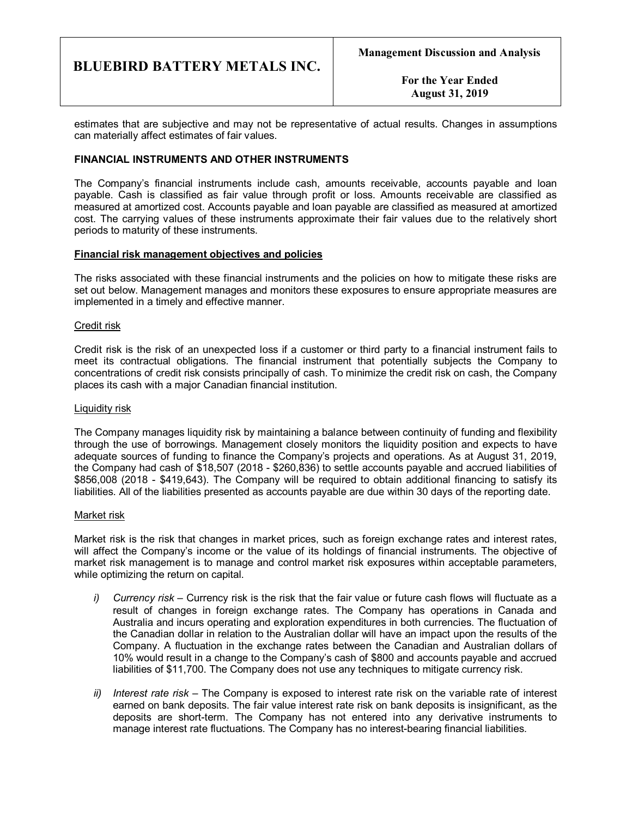**For the Year Ended August 31, 2019**

estimates that are subjective and may not be representative of actual results. Changes in assumptions can materially affect estimates of fair values.

## **FINANCIAL INSTRUMENTS AND OTHER INSTRUMENTS**

The Company's financial instruments include cash, amounts receivable, accounts payable and loan payable. Cash is classified as fair value through profit or loss. Amounts receivable are classified as measured at amortized cost. Accounts payable and loan payable are classified as measured at amortized cost. The carrying values of these instruments approximate their fair values due to the relatively short periods to maturity of these instruments.

#### **Financial risk management objectives and policies**

The risks associated with these financial instruments and the policies on how to mitigate these risks are set out below. Management manages and monitors these exposures to ensure appropriate measures are implemented in a timely and effective manner.

#### Credit risk

Credit risk is the risk of an unexpected loss if a customer or third party to a financial instrument fails to meet its contractual obligations. The financial instrument that potentially subjects the Company to concentrations of credit risk consists principally of cash. To minimize the credit risk on cash, the Company places its cash with a major Canadian financial institution.

#### Liquidity risk

The Company manages liquidity risk by maintaining a balance between continuity of funding and flexibility through the use of borrowings. Management closely monitors the liquidity position and expects to have adequate sources of funding to finance the Company's projects and operations. As at August 31, 2019, the Company had cash of \$18,507 (2018 - \$260,836) to settle accounts payable and accrued liabilities of \$856,008 (2018 - \$419,643). The Company will be required to obtain additional financing to satisfy its liabilities. All of the liabilities presented as accounts payable are due within 30 days of the reporting date.

#### Market risk

Market risk is the risk that changes in market prices, such as foreign exchange rates and interest rates, will affect the Company's income or the value of its holdings of financial instruments. The objective of market risk management is to manage and control market risk exposures within acceptable parameters, while optimizing the return on capital.

- *i) Currency risk –* Currency risk is the risk that the fair value or future cash flows will fluctuate as a result of changes in foreign exchange rates. The Company has operations in Canada and Australia and incurs operating and exploration expenditures in both currencies. The fluctuation of the Canadian dollar in relation to the Australian dollar will have an impact upon the results of the Company. A fluctuation in the exchange rates between the Canadian and Australian dollars of 10% would result in a change to the Company's cash of \$800 and accounts payable and accrued liabilities of \$11,700. The Company does not use any techniques to mitigate currency risk.
- *ii) Interest rate risk –* The Company is exposed to interest rate risk on the variable rate of interest earned on bank deposits. The fair value interest rate risk on bank deposits is insignificant, as the deposits are short-term. The Company has not entered into any derivative instruments to manage interest rate fluctuations. The Company has no interest-bearing financial liabilities.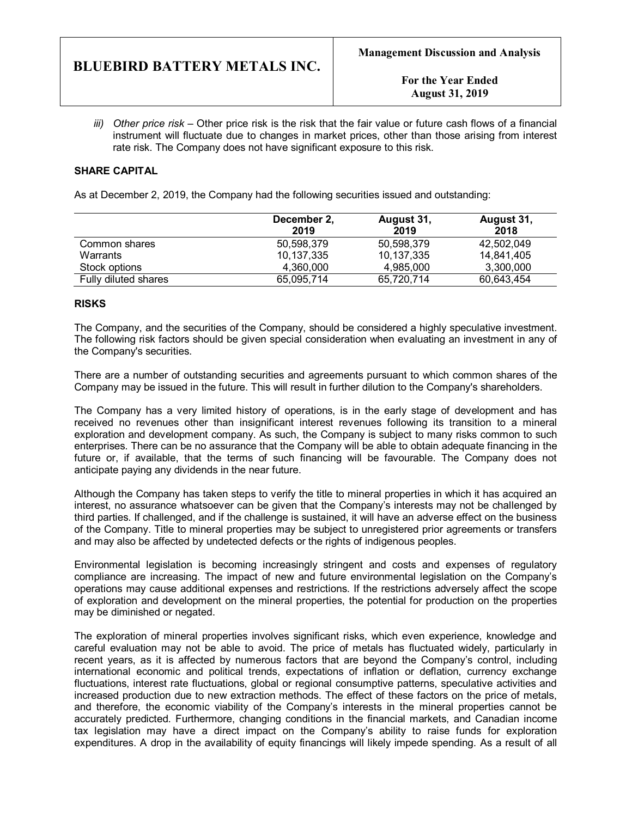*iii) Other price risk –* Other price risk is the risk that the fair value or future cash flows of a financial instrument will fluctuate due to changes in market prices, other than those arising from interest rate risk. The Company does not have significant exposure to this risk.

# **SHARE CAPITAL**

As at December 2, 2019, the Company had the following securities issued and outstanding:

|                      | December 2,<br>2019 | August 31,<br>2019 | August 31,<br>2018 |
|----------------------|---------------------|--------------------|--------------------|
| Common shares        | 50.598.379          | 50,598,379         | 42.502.049         |
| Warrants             | 10,137,335          | 10,137,335         | 14.841.405         |
| Stock options        | 4.360.000           | 4.985.000          | 3,300,000          |
| Fully diluted shares | 65,095,714          | 65.720.714         | 60,643,454         |

## **RISKS**

The Company, and the securities of the Company, should be considered a highly speculative investment. The following risk factors should be given special consideration when evaluating an investment in any of the Company's securities.

There are a number of outstanding securities and agreements pursuant to which common shares of the Company may be issued in the future. This will result in further dilution to the Company's shareholders.

The Company has a very limited history of operations, is in the early stage of development and has received no revenues other than insignificant interest revenues following its transition to a mineral exploration and development company. As such, the Company is subject to many risks common to such enterprises. There can be no assurance that the Company will be able to obtain adequate financing in the future or, if available, that the terms of such financing will be favourable. The Company does not anticipate paying any dividends in the near future.

Although the Company has taken steps to verify the title to mineral properties in which it has acquired an interest, no assurance whatsoever can be given that the Company's interests may not be challenged by third parties. If challenged, and if the challenge is sustained, it will have an adverse effect on the business of the Company. Title to mineral properties may be subject to unregistered prior agreements or transfers and may also be affected by undetected defects or the rights of indigenous peoples.

Environmental legislation is becoming increasingly stringent and costs and expenses of regulatory compliance are increasing. The impact of new and future environmental legislation on the Company's operations may cause additional expenses and restrictions. If the restrictions adversely affect the scope of exploration and development on the mineral properties, the potential for production on the properties may be diminished or negated.

The exploration of mineral properties involves significant risks, which even experience, knowledge and careful evaluation may not be able to avoid. The price of metals has fluctuated widely, particularly in recent years, as it is affected by numerous factors that are beyond the Company's control, including international economic and political trends, expectations of inflation or deflation, currency exchange fluctuations, interest rate fluctuations, global or regional consumptive patterns, speculative activities and increased production due to new extraction methods. The effect of these factors on the price of metals, and therefore, the economic viability of the Company's interests in the mineral properties cannot be accurately predicted. Furthermore, changing conditions in the financial markets, and Canadian income tax legislation may have a direct impact on the Company's ability to raise funds for exploration expenditures. A drop in the availability of equity financings will likely impede spending. As a result of all